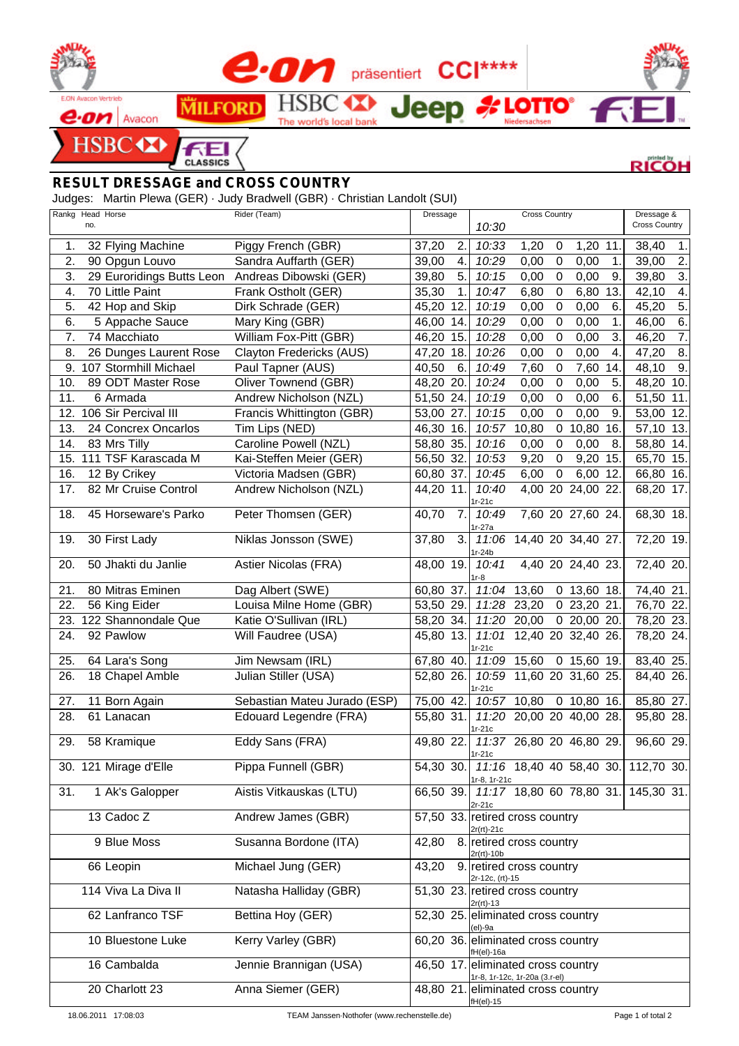

## *RESULT DRESSAGE and CROSS COUNTRY*

Judges: Martin Plewa (GER) · Judy Bradwell (GBR) · Christian Landolt (SUI)

| Rankg Head Horse |     |                           | Rider (Team)                 | Dressage                 |     |                                                     | <b>Cross Country</b>     |                  |                   |                  | Dressage &                                    |     |
|------------------|-----|---------------------------|------------------------------|--------------------------|-----|-----------------------------------------------------|--------------------------|------------------|-------------------|------------------|-----------------------------------------------|-----|
|                  | no. |                           |                              |                          |     | 10:30                                               |                          |                  |                   |                  | <b>Cross Country</b>                          |     |
| 1.               |     | 32 Flying Machine         | Piggy French (GBR)           | 37,20                    | 2.  | 10:33                                               | 1,20                     | 0                | 1,20 11.          |                  | 38,40                                         | 1.  |
| 2.               |     | 90 Opgun Louvo            | Sandra Auffarth (GER)        | 39,00                    | 4.  | 10:29                                               | 0,00                     | $\mathbf 0$      | 0,00              | 1.               | 39,00                                         | 2.  |
| 3.               |     | 29 Euroridings Butts Leon | Andreas Dibowski (GER)       | 39,80                    | 5.  | 10:15                                               | 0,00                     | $\mathbf 0$      | 0,00              | 9.               | 39,80                                         | 3.  |
| 4.               |     | 70 Little Paint           | Frank Ostholt (GER)          | 35,30                    | 1.  | 10:47                                               | 6,80                     | $\mathbf 0$      | 6,80              | 13.              | 42,10                                         | 4.  |
| 5.               |     | 42 Hop and Skip           | Dirk Schrade (GER)           | 45,20                    | 12. | 10:19                                               | 0,00                     | 0                | 0,00              | 6.               | 45,20                                         | 5.  |
| 6.               |     | 5 Appache Sauce           | Mary King (GBR)              | 46,00                    | 14. | 10:29                                               | 0,00                     | $\mathbf 0$      | 0,00              | 1.               | 46,00                                         | 6.  |
| 7.               |     | 74 Macchiato              | William Fox-Pitt (GBR)       | $\overline{46,20}$       | 15. | 10:28                                               | 0,00                     | $\mathbf 0$      | 0,00              | 3.               | 46,20                                         | 7.  |
| 8.               |     | 26 Dunges Laurent Rose    | Clayton Fredericks (AUS)     | 47,20 18.                |     | 10:26                                               | 0,00                     | $\mathbf 0$      | 0,00              | 4.               | 47,20                                         | 8.  |
| 9.               |     | 107 Stormhill Michael     | Paul Tapner (AUS)            | 40,50                    | 6.  | 10:49                                               | 7,60                     | $\boldsymbol{0}$ | 7,60              | 14.              | 48,10                                         | 9.  |
| 10.              |     | 89 ODT Master Rose        | Oliver Townend (GBR)         | 48,20 20.                |     | 10:24                                               | 0,00                     | $\mathbf 0$      | 0,00              | 5.               | 48,20                                         | 10. |
| 11.              |     | 6 Armada                  | Andrew Nicholson (NZL)       | 51,50                    | 24. | 10:19                                               | 0,00                     | $\mathbf 0$      | 0,00              | 6.               | 51,50                                         | 11. |
| 12.              |     | 106 Sir Percival III      | Francis Whittington (GBR)    | 53,00                    | 27. | 10:15                                               | 0,00                     | $\overline{0}$   | 0,00              | $\overline{9}$ . | 53,00                                         | 12. |
| 13.              |     | 24 Concrex Oncarlos       | Tim Lips (NED)               | 46,30 16.                |     | 10:57                                               | 10,80                    | $\mathbf 0$      | 10,80             | 16.              | 57,10                                         | 13. |
| 14.              |     | 83 Mrs Tilly              | Caroline Powell (NZL)        | 58,80                    | 35. | 10:16                                               | 0,00                     | $\boldsymbol{0}$ | 0,00              | 8.               | 58,80                                         | 14. |
|                  |     | 15. 111 TSF Karascada M   | Kai-Steffen Meier (GER)      | 56,50 32.                |     | 10:53                                               | 9,20                     | $\boldsymbol{0}$ | 9,20              | 15.              | 65,70 15.                                     |     |
| 16.              |     | 12 By Crikey              | Victoria Madsen (GBR)        | 60,80 37.                |     | 10:45                                               | 6,00                     | $\mathbf 0$      | 6,00              | 12.              | 66,80 16.                                     |     |
| 17.              |     | 82 Mr Cruise Control      | Andrew Nicholson (NZL)       | 44,20 11.                |     | 10:40                                               |                          |                  | 4,00 20 24,00 22. |                  | 68,20                                         | 17. |
|                  |     |                           |                              |                          |     | 1r-21c                                              |                          |                  |                   |                  |                                               |     |
| 18.              |     | 45 Horseware's Parko      | Peter Thomsen (GER)          | 40,70                    | 7.  | 10:49<br>$1r-27a$                                   |                          |                  | 7,60 20 27,60 24. |                  | 68,30 18.                                     |     |
| 19.              |     | 30 First Lady             | Niklas Jonsson (SWE)         | 37,80                    | 3.  |                                                     | 11:06 14,40 20 34,40 27. |                  |                   |                  | 72,20 19.                                     |     |
|                  |     |                           |                              |                          |     | $1r-24b$                                            |                          |                  |                   |                  |                                               |     |
| 20.              |     | 50 Jhakti du Janlie       | Astier Nicolas (FRA)         | 48,00 19.                |     | 10:41                                               |                          |                  | 4,40 20 24,40 23. |                  | 72,40 20.                                     |     |
|                  |     |                           |                              |                          |     | $1r-8$                                              |                          |                  |                   |                  |                                               |     |
| 21.              |     | 80 Mitras Eminen          | Dag Albert (SWE)             | 60,80 37.                |     | 11:04                                               | 13,60                    |                  | $0$ 13,60 18.     |                  | 74,40 21.                                     |     |
| 22.              |     | 56 King Eider             | Louisa Milne Home (GBR)      | 53,50 29.                |     |                                                     | 11:28 23,20              |                  | 0 23,20 21.       |                  | 76,70 22.                                     |     |
| 23.              |     | 122 Shannondale Que       | Katie O'Sullivan (IRL)       | $\overline{58}$ , 20 34. |     |                                                     | 11:20 20,00              |                  | 020,0020.         |                  | 78,20 23.                                     |     |
| 24.              |     | 92 Pawlow                 | Will Faudree (USA)           | 45,80 13.                |     | $1r-21c$                                            | 11:01 12,40 20 32,40 26. |                  |                   |                  | 78,20 24.                                     |     |
| 25.              |     | 64 Lara's Song            | Jim Newsam (IRL)             | 67,80 40.                |     |                                                     | $11:09$ 15,60            |                  | $0$ 15,60 19.     |                  | 83,40 25.                                     |     |
| 26.              |     | 18 Chapel Amble           | Julian Stiller (USA)         | 52,80 26.                |     |                                                     | 10:59 11,60 20 31,60 25. |                  |                   |                  | 84,40 26.                                     |     |
|                  |     |                           |                              |                          |     | $1r-21c$                                            |                          |                  |                   |                  |                                               |     |
| 27.              |     | 11 Born Again             | Sebastian Mateu Jurado (ESP) | 75,00 42.                |     |                                                     | 10:57 10,80              |                  | $0$ 10,80 16.     |                  | 85,80 27.                                     |     |
| 28.              |     | 61 Lanacan                | Edouard Legendre (FRA)       | 55,80 31.                |     |                                                     | 11:20 20,00 20 40,00 28. |                  |                   |                  | 95,80 28.                                     |     |
| 29.              |     | 58 Kramique               | Eddy Sans (FRA)              | 49,80 22.                |     | 1r-21c                                              | 11:37 26,80 20 46,80 29. |                  |                   |                  | 96,60 29.                                     |     |
|                  |     |                           |                              |                          |     | $1r-21c$                                            |                          |                  |                   |                  |                                               |     |
|                  |     | 30. 121 Mirage d'Elle     | Pippa Funnell (GBR)          |                          |     |                                                     |                          |                  |                   |                  | 54,30 30. 11:16 18,40 40 58,40 30. 112,70 30. |     |
|                  |     |                           |                              |                          |     | 1r-8, 1r-21c                                        |                          |                  |                   |                  |                                               |     |
| 31.              |     | 1 Ak's Galopper           | Aistis Vitkauskas (LTU)      | 66,50 39.                |     |                                                     |                          |                  |                   |                  | 11:17 18,80 60 78,80 31. 145,30 31.           |     |
|                  |     | 13 Cadoc Z                | Andrew James (GBR)           |                          |     | 2r-21c<br>57,50 33. retired cross country           |                          |                  |                   |                  |                                               |     |
|                  |     |                           |                              |                          |     | $2r(rt) - 21c$                                      |                          |                  |                   |                  |                                               |     |
|                  |     | 9 Blue Moss               | Susanna Bordone (ITA)        | 42,80                    |     | 8. retired cross country                            |                          |                  |                   |                  |                                               |     |
|                  |     |                           |                              |                          |     | $2r(rt) - 10b$                                      |                          |                  |                   |                  |                                               |     |
|                  |     | 66 Leopin                 | Michael Jung (GER)           | 43,20                    |     | 9. retired cross country<br>2r-12c, (rt)-15         |                          |                  |                   |                  |                                               |     |
|                  |     | 114 Viva La Diva II       | Natasha Halliday (GBR)       |                          |     | 51,30 23. retired cross country                     |                          |                  |                   |                  |                                               |     |
|                  |     |                           |                              |                          |     | $2r(rt) - 13$                                       |                          |                  |                   |                  |                                               |     |
|                  |     | 62 Lanfranco TSF          | Bettina Hoy (GER)            |                          |     | 52,30 25. eliminated cross country                  |                          |                  |                   |                  |                                               |     |
|                  |     | 10 Bluestone Luke         |                              |                          |     | (el)-9a                                             |                          |                  |                   |                  |                                               |     |
|                  |     |                           | Kerry Varley (GBR)           |                          |     | 60,20 36. eliminated cross country<br>$fH$ (el)-16a |                          |                  |                   |                  |                                               |     |
|                  |     | 16 Cambalda               | Jennie Brannigan (USA)       |                          |     | 46,50 17. eliminated cross country                  |                          |                  |                   |                  |                                               |     |
|                  |     |                           |                              |                          |     | 1r-8, 1r-12c, 1r-20a (3.r-el)                       |                          |                  |                   |                  |                                               |     |
|                  |     | 20 Charlott 23            | Anna Siemer (GER)            |                          |     | 48,80 21. eliminated cross country<br>fH(el)-15     |                          |                  |                   |                  |                                               |     |